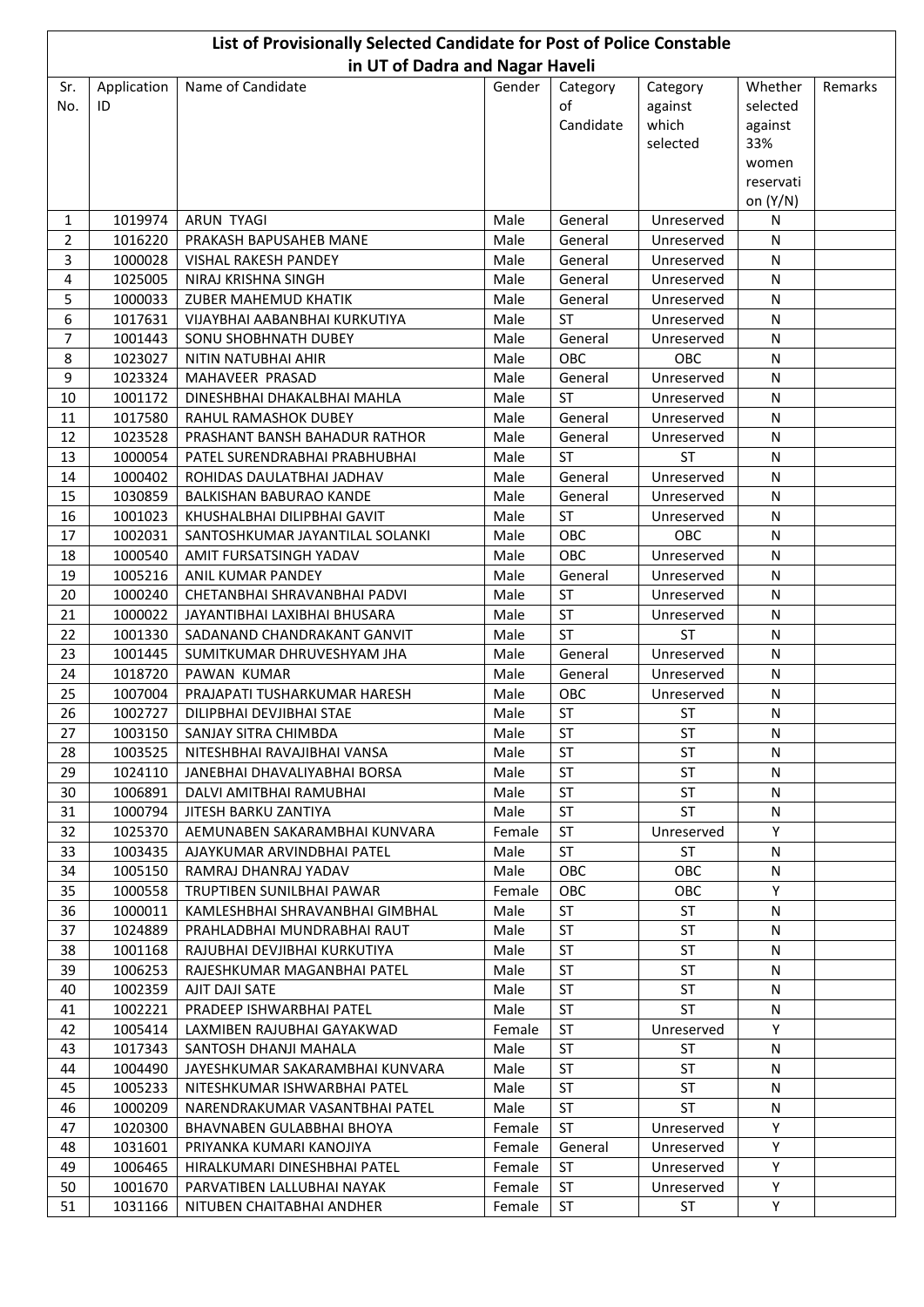| List of Provisionally Selected Candidate for Post of Police Constable |                    |                                                          |              |                             |                              |                     |         |  |  |  |  |
|-----------------------------------------------------------------------|--------------------|----------------------------------------------------------|--------------|-----------------------------|------------------------------|---------------------|---------|--|--|--|--|
|                                                                       |                    | in UT of Dadra and Nagar Haveli                          |              |                             |                              |                     |         |  |  |  |  |
| Sr.<br>No.                                                            | Application<br>ID  | Name of Candidate                                        | Gender       | Category<br>of<br>Candidate | Category<br>against<br>which | Whether<br>selected | Remarks |  |  |  |  |
|                                                                       |                    |                                                          |              |                             | selected                     | against<br>33%      |         |  |  |  |  |
|                                                                       |                    |                                                          |              |                             |                              | women               |         |  |  |  |  |
|                                                                       |                    |                                                          |              |                             |                              | reservati           |         |  |  |  |  |
|                                                                       |                    |                                                          |              |                             |                              | on (Y/N)            |         |  |  |  |  |
| 1                                                                     | 1019974            | <b>ARUN TYAGI</b>                                        | Male         | General                     | Unreserved                   | N                   |         |  |  |  |  |
| $\overline{2}$                                                        | 1016220            | PRAKASH BAPUSAHEB MANE                                   | Male         | General                     | Unreserved                   | N                   |         |  |  |  |  |
| 3                                                                     | 1000028            | VISHAL RAKESH PANDEY                                     | Male         | General                     | Unreserved                   | N                   |         |  |  |  |  |
| 4                                                                     | 1025005            | NIRAJ KRISHNA SINGH                                      | Male         | General                     | Unreserved                   | N                   |         |  |  |  |  |
| 5                                                                     | 1000033            | <b>ZUBER MAHEMUD KHATIK</b>                              | Male         | General                     | Unreserved                   | N                   |         |  |  |  |  |
| 6                                                                     | 1017631            | VIJAYBHAI AABANBHAI KURKUTIYA                            | Male         | <b>ST</b>                   | Unreserved                   | N                   |         |  |  |  |  |
| 7                                                                     | 1001443            | SONU SHOBHNATH DUBEY                                     | Male         | General<br>OBC              | Unreserved                   | N                   |         |  |  |  |  |
| 8<br>$\boldsymbol{9}$                                                 | 1023027<br>1023324 | NITIN NATUBHAI AHIR<br>MAHAVEER PRASAD                   | Male<br>Male | General                     | OBC<br>Unreserved            | ${\sf N}$<br>N      |         |  |  |  |  |
| 10                                                                    | 1001172            | DINESHBHAI DHAKALBHAI MAHLA                              | Male         | <b>ST</b>                   | Unreserved                   | N                   |         |  |  |  |  |
| 11                                                                    | 1017580            | RAHUL RAMASHOK DUBEY                                     | Male         | General                     | Unreserved                   | N                   |         |  |  |  |  |
| 12                                                                    | 1023528            | PRASHANT BANSH BAHADUR RATHOR                            | Male         | General                     | Unreserved                   | N                   |         |  |  |  |  |
| 13                                                                    | 1000054            | PATEL SURENDRABHAI PRABHUBHAI                            | Male         | <b>ST</b>                   | <b>ST</b>                    | N                   |         |  |  |  |  |
| 14                                                                    | 1000402            | ROHIDAS DAULATBHAI JADHAV                                | Male         | General                     | Unreserved                   | N                   |         |  |  |  |  |
| 15                                                                    | 1030859            | BALKISHAN BABURAO KANDE                                  | Male         | General                     | Unreserved                   | N                   |         |  |  |  |  |
| 16                                                                    | 1001023            | KHUSHALBHAI DILIPBHAI GAVIT                              | Male         | <b>ST</b>                   | Unreserved                   | ${\sf N}$           |         |  |  |  |  |
| 17                                                                    | 1002031            | SANTOSHKUMAR JAYANTILAL SOLANKI                          | Male         | OBC                         | OBC                          | N                   |         |  |  |  |  |
| 18                                                                    | 1000540            | AMIT FURSATSINGH YADAV                                   | Male         | OBC                         | Unreserved                   | N                   |         |  |  |  |  |
| 19                                                                    | 1005216            | ANIL KUMAR PANDEY                                        | Male         | General                     | Unreserved                   | N                   |         |  |  |  |  |
| 20                                                                    | 1000240            | CHETANBHAI SHRAVANBHAI PADVI                             | Male         | <b>ST</b>                   | Unreserved                   | N                   |         |  |  |  |  |
| 21                                                                    | 1000022            | JAYANTIBHAI LAXIBHAI BHUSARA                             | Male         | ST                          | Unreserved                   | N                   |         |  |  |  |  |
| 22                                                                    | 1001330            | SADANAND CHANDRAKANT GANVIT                              | Male         | <b>ST</b>                   | <b>ST</b>                    | N                   |         |  |  |  |  |
| 23                                                                    | 1001445            | SUMITKUMAR DHRUVESHYAM JHA                               | Male         | General                     | Unreserved                   | N                   |         |  |  |  |  |
| 24                                                                    | 1018720            | PAWAN KUMAR                                              | Male         | General                     | Unreserved                   | N                   |         |  |  |  |  |
| 25<br>26                                                              | 1007004<br>1002727 | PRAJAPATI TUSHARKUMAR HARESH                             | Male<br>Male | OBC<br>ST                   | Unreserved<br><b>ST</b>      | N<br>${\sf N}$      |         |  |  |  |  |
| 27                                                                    | 1003150            | DILIPBHAI DEVJIBHAI STAE<br>SANJAY SITRA CHIMBDA         | Male         | ST                          | ST                           | N                   |         |  |  |  |  |
| 28                                                                    | 1003525            | NITESHBHAI RAVAJIBHAI VANSA                              | Male         | ST                          | ST                           | N                   |         |  |  |  |  |
| 29                                                                    | 1024110            | JANEBHAI DHAVALIYABHAI BORSA                             | Male         | ST                          | <b>ST</b>                    | N                   |         |  |  |  |  |
| 30                                                                    | 1006891            | DALVI AMITBHAI RAMUBHAI                                  | Male         | ST                          | ST                           | N                   |         |  |  |  |  |
| 31                                                                    | 1000794            | JITESH BARKU ZANTIYA                                     | Male         | ST                          | ST                           | N                   |         |  |  |  |  |
| 32                                                                    | 1025370            | AEMUNABEN SAKARAMBHAI KUNVARA                            | Female       | ST                          | Unreserved                   | Y                   |         |  |  |  |  |
| 33                                                                    | 1003435            | AJAYKUMAR ARVINDBHAI PATEL                               | Male         | ST                          | <b>ST</b>                    | N                   |         |  |  |  |  |
| 34                                                                    | 1005150            | RAMRAJ DHANRAJ YADAV                                     | Male         | OBC                         | OBC                          | N                   |         |  |  |  |  |
| 35                                                                    | 1000558            | TRUPTIBEN SUNILBHAI PAWAR                                | Female       | OBC                         | OBC                          | Y                   |         |  |  |  |  |
| 36                                                                    | 1000011            | KAMLESHBHAI SHRAVANBHAI GIMBHAL                          | Male         | ST                          | ST                           | N                   |         |  |  |  |  |
| 37                                                                    | 1024889            | PRAHLADBHAI MUNDRABHAI RAUT                              | Male         | ST                          | ST                           | N                   |         |  |  |  |  |
| 38                                                                    | 1001168            | RAJUBHAI DEVJIBHAI KURKUTIYA                             | Male         | ST                          | ST                           | N                   |         |  |  |  |  |
| 39                                                                    | 1006253            | RAJESHKUMAR MAGANBHAI PATEL                              | Male         | ST                          | ST                           | N                   |         |  |  |  |  |
| 40                                                                    | 1002359            | AJIT DAJI SATE                                           | Male         | ST                          | ST                           | N                   |         |  |  |  |  |
| 41                                                                    | 1002221            | PRADEEP ISHWARBHAI PATEL                                 | Male         | ST                          | <b>ST</b>                    | N                   |         |  |  |  |  |
| 42                                                                    | 1005414            | LAXMIBEN RAJUBHAI GAYAKWAD                               | Female       | ST                          | Unreserved                   | Y                   |         |  |  |  |  |
| 43<br>44                                                              | 1017343<br>1004490 | SANTOSH DHANJI MAHALA<br>JAYESHKUMAR SAKARAMBHAI KUNVARA | Male<br>Male | ST<br>ST                    | <b>ST</b><br>ST              | N<br>N              |         |  |  |  |  |
| 45                                                                    | 1005233            | NITESHKUMAR ISHWARBHAI PATEL                             | Male         | ST                          | ST                           | N                   |         |  |  |  |  |
| 46                                                                    | 1000209            | NARENDRAKUMAR VASANTBHAI PATEL                           | Male         | ST                          | ST                           | N                   |         |  |  |  |  |
| 47                                                                    | 1020300            | BHAVNABEN GULABBHAI BHOYA                                | Female       | ST                          | Unreserved                   | Y                   |         |  |  |  |  |
| 48                                                                    | 1031601            | PRIYANKA KUMARI KANOJIYA                                 | Female       | General                     | Unreserved                   | Y                   |         |  |  |  |  |
| 49                                                                    | 1006465            | HIRALKUMARI DINESHBHAI PATEL                             | Female       | ST                          | Unreserved                   | Y                   |         |  |  |  |  |
| 50                                                                    | 1001670            | PARVATIBEN LALLUBHAI NAYAK                               | Female       | ST                          | Unreserved                   | Y                   |         |  |  |  |  |
| 51                                                                    | 1031166            | NITUBEN CHAITABHAI ANDHER                                | Female       | ST                          | ST                           | Y                   |         |  |  |  |  |
|                                                                       |                    |                                                          |              |                             |                              |                     |         |  |  |  |  |